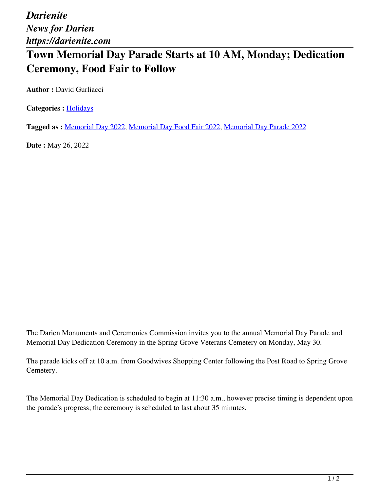*Darienite News for Darien https://darienite.com*

## **Town Memorial Day Parade Starts at 10 AM, Monday; Dedication Ceremony, Food Fair to Follow**

**Author :** David Gurliacci

**Categories :** [Holidays](https://darienite.com/category/living/holidays)

**Tagged as :** Memorial Day 2022, Memorial Day Food Fair 2022, Memorial Day Parade 2022

**Date :** May 26, 2022

The Darien Monuments and Ceremonies Commission invites you to the annual Memorial Day Parade and Memorial Day Dedication Ceremony in the Spring Grove Veterans Cemetery on Monday, May 30.

The parade kicks off at 10 a.m. from Goodwives Shopping Center following the Post Road to Spring Grove Cemetery.

The Memorial Day Dedication is scheduled to begin at 11:30 a.m., however precise timing is dependent upon the parade's progress; the ceremony is scheduled to last about 35 minutes.